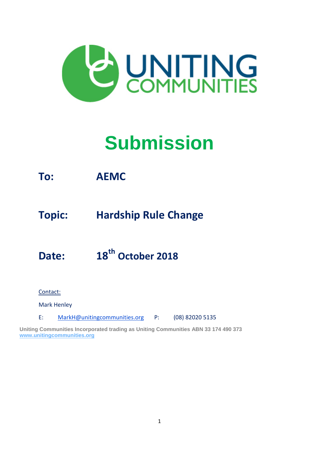

# **Submission**

**To: AEMC**

**Topic: Hardship Rule Change**

**Date: 18th October 2018**

Contact:

Mark Henley

E: [MarkH@unitingcommunities.org](mailto:MarkH@unitingcommunities.org) P: (08) 82020 5135

**Uniting Communities Incorporated trading as Uniting Communities ABN 33 174 490 373 [www.unitingcommunities.org](http://www.unitingcommunities.org/)**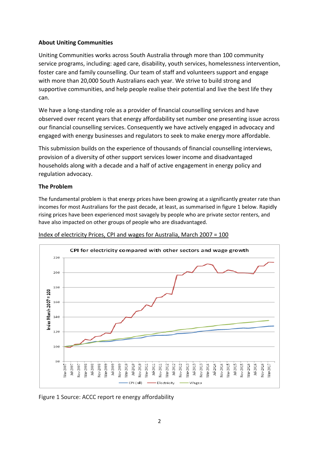## **About Uniting Communities**

Uniting Communities works across South Australia through more than 100 community service programs, including: aged care, disability, youth services, homelessness intervention, foster care and family counselling. Our team of staff and volunteers support and engage with more than 20,000 South Australians each year. We strive to build strong and supportive communities, and help people realise their potential and live the best life they can.

We have a long-standing role as a provider of financial counselling services and have observed over recent years that energy affordability set number one presenting issue across our financial counselling services. Consequently we have actively engaged in advocacy and engaged with energy businesses and regulators to seek to make energy more affordable.

This submission builds on the experience of thousands of financial counselling interviews, provision of a diversity of other support services lower income and disadvantaged households along with a decade and a half of active engagement in energy policy and regulation advocacy.

#### **The Problem**

The fundamental problem is that energy prices have been growing at a significantly greater rate than incomes for most Australians for the past decade, at least, as summarised in figure 1 below. Rapidly rising prices have been experienced most savagely by people who are private sector renters, and have also impacted on other groups of people who are disadvantaged.



Index of electricity Prices, CPI and wages for Australia, March 2007 = 100

Figure 1 Source: ACCC report re energy affordability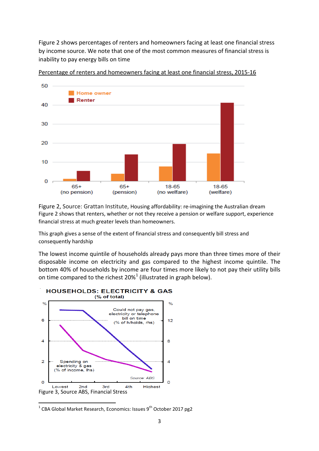Figure 2 shows percentages of renters and homeowners facing at least one financial stress by income source. We note that one of the most common measures of financial stress is inability to pay energy bills on time



Percentage of renters and homeowners facing at least one financial stress, 2015-16

Figure 2, Source: Grattan Institute, Housing affordability: re-imagining the Australian dream Figure 2 shows that renters, whether or not they receive a pension or welfare support, experience financial stress at much greater levels than homeowners.

This graph gives a sense of the extent of financial stress and consequently bill stress and consequently hardship

The lowest income quintile of households already pays more than three times more of their disposable income on electricity and gas compared to the highest income quintile. The bottom 40% of households by income are four times more likely to not pay their utility bills on time compared to the richest  $20\%$ <sup>[1](#page-2-0)</sup> (illustrated in graph below).



<span id="page-2-0"></span> $1$  CBA Global Market Research, Economics: Issues 9<sup>th</sup> October 2017 pg2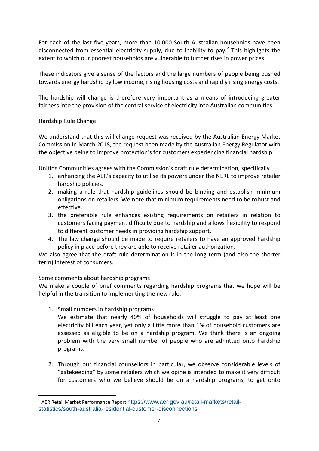For each of the last five years, more than 10,000 South Australian households have been disconnected from essential electricity supply, due to inability to pay.<sup>[2](#page-3-0)</sup> This highlights the extent to which our poorest households are vulnerable to further rises in power prices.

These indicators give a sense of the factors and the large numbers of people being pushed towards energy hardship by low income, rising housing costs and rapidly rising energy costs.

The hardship will change is therefore very important as a means of introducing greater fairness into the provision of the central service of electricity into Australian communities.

## Hardship Rule Change

We understand that this will change request was received by the Australian Energy Market Commission in March 2018, the request been made by the Australian Energy Regulator with the objective being to improve protection's for customers experiencing financial hardship.

Uniting Communities agrees with the Commission's draft rule determination, specifically

- 1. enhancing the AER's capacity to utilise its powers under the NERL to improve retailer hardship policies.
- 2. making a rule that hardship guidelines should be binding and establish minimum obligations on retailers. We note that minimum requirements need to be robust and effective.
- 3. the preferable rule enhances existing requirements on retailers in relation to customers facing payment difficulty due to hardship and allows flexibility to respond to different customer needs in providing hardship support.
- 4. The law change should be made to require retailers to have an approved hardship policy in place before they are able to receive retailer authorization.

We also agree that the draft rule determination is in the long term (and also the shorter term) interest of consumers.

#### Some comments about hardship programs

We make a couple of brief comments regarding hardship programs that we hope will be helpful in the transition to implementing the new rule.

1. Small numbers in hardship programs

We estimate that nearly 40% of households will struggle to pay at least one electricity bill each year, yet only a little more than 1% of household customers are assessed as eligible to be on a hardship program. We think there is an ongoing problem with the very small number of people who are admitted onto hardship programs.

2. Through our financial counsellors in particular, we observe considerable levels of "gatekeeping" by some retailers which we opine is intended to make it very difficult for customers who we believe should be on a hardship programs, to get onto

<span id="page-3-0"></span><sup>&</sup>lt;sup>2</sup> AER Retail Market Performance Report [https://www.aer.gov.au/retail-markets/retail](https://www.aer.gov.au/retail-markets/retail-statistics/south-australia-residential-customer-disconnections)[statistics/south-australia-residential-customer-disconnections](https://www.aer.gov.au/retail-markets/retail-statistics/south-australia-residential-customer-disconnections).